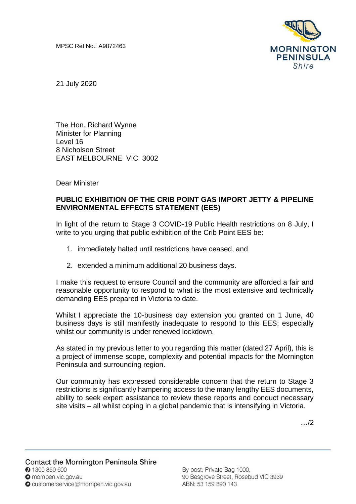

21 July 2020

The Hon. Richard Wynne Minister for Planning Level 16 8 Nicholson Street EAST MELBOURNE VIC 3002

Dear Minister

## **PUBLIC EXHIBITION OF THE CRIB POINT GAS IMPORT JETTY & PIPELINE ENVIRONMENTAL EFFECTS STATEMENT (EES)**

In light of the return to Stage 3 COVID-19 Public Health restrictions on 8 July, I write to you urging that public exhibition of the Crib Point EES be:

- 1. immediately halted until restrictions have ceased, and
- 2. extended a minimum additional 20 business days.

I make this request to ensure Council and the community are afforded a fair and reasonable opportunity to respond to what is the most extensive and technically demanding EES prepared in Victoria to date.

Whilst I appreciate the 10-business day extension you granted on 1 June, 40 business days is still manifestly inadequate to respond to this EES; especially whilst our community is under renewed lockdown.

As stated in my previous letter to you regarding this matter (dated 27 April), this is a project of immense scope, complexity and potential impacts for the Mornington Peninsula and surrounding region.

Our community has expressed considerable concern that the return to Stage 3 restrictions is significantly hampering access to the many lengthy EES documents, ability to seek expert assistance to review these reports and conduct necessary site visits – all whilst coping in a global pandemic that is intensifying in Victoria.

…/2